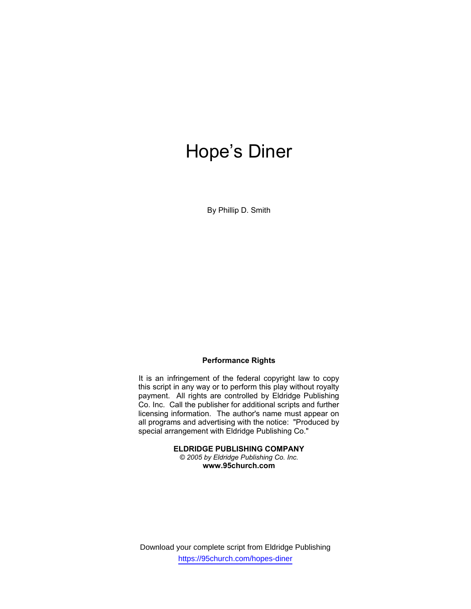# Hope's Diner

By Phillip D. Smith

# **Performance Rights**

It is an infringement of the federal copyright law to copy this script in any way or to perform this play without royalty payment. All rights are controlled by Eldridge Publishing Co. Inc. Call the publisher for additional scripts and further licensing information. The author's name must appear on all programs and advertising with the notice: "Produced by special arrangement with Eldridge Publishing Co."

> **ELDRIDGE PUBLISHING COMPANY**  *© 2005 by Eldridge Publishing Co. Inc.*  **www.95church.com**

Download your complete script from Eldridge Publishing https://95church.com/hopes-diner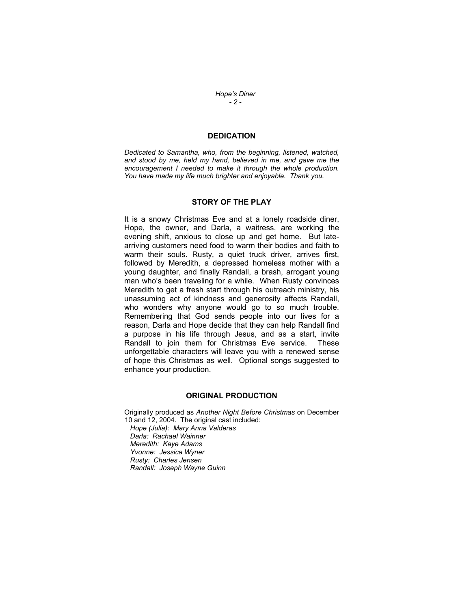*Hope's Diner - 2 -* 

## **DEDICATION**

*Dedicated to Samantha, who, from the beginning, listened, watched, and stood by me, held my hand, believed in me, and gave me the encouragement I needed to make it through the whole production. You have made my life much brighter and enjoyable. Thank you.* 

#### **STORY OF THE PLAY**

It is a snowy Christmas Eve and at a lonely roadside diner, Hope, the owner, and Darla, a waitress, are working the evening shift, anxious to close up and get home. But latearriving customers need food to warm their bodies and faith to warm their souls. Rusty, a quiet truck driver, arrives first, followed by Meredith, a depressed homeless mother with a young daughter, and finally Randall, a brash, arrogant young man who's been traveling for a while. When Rusty convinces Meredith to get a fresh start through his outreach ministry, his unassuming act of kindness and generosity affects Randall, who wonders why anyone would go to so much trouble. Remembering that God sends people into our lives for a reason, Darla and Hope decide that they can help Randall find a purpose in his life through Jesus, and as a start, invite Randall to join them for Christmas Eve service. These unforgettable characters will leave you with a renewed sense of hope this Christmas as well. Optional songs suggested to enhance your production.

#### **ORIGINAL PRODUCTION**

Originally produced as *Another Night Before Christmas* on December 10 and 12, 2004. The original cast included:  *Hope (Julia): Mary Anna Valderas Darla: Rachael Wainner Meredith: Kaye Adams Yvonne: Jessica Wyner Rusty: Charles Jensen Randall: Joseph Wayne Guinn*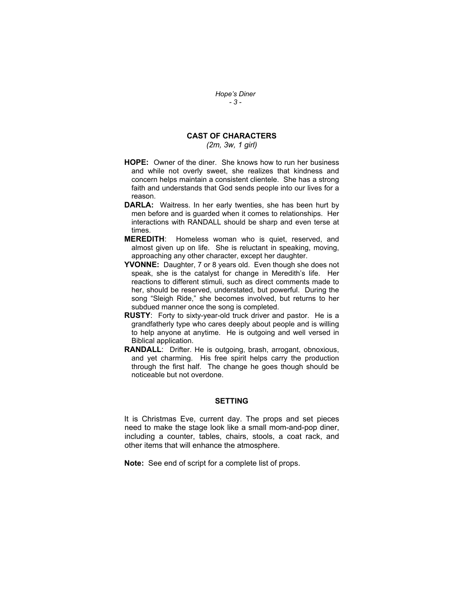*Hope's Diner - 3 -* 

# **CAST OF CHARACTERS**

*(2m, 3w, 1 girl)* 

- **HOPE:** Owner of the diner. She knows how to run her business and while not overly sweet, she realizes that kindness and concern helps maintain a consistent clientele. She has a strong faith and understands that God sends people into our lives for a reason.
- **DARLA:** Waitress. In her early twenties, she has been hurt by men before and is guarded when it comes to relationships. Her interactions with RANDALL should be sharp and even terse at times.
- **MEREDITH**: Homeless woman who is quiet, reserved, and almost given up on life. She is reluctant in speaking, moving, approaching any other character, except her daughter.
- **YVONNE:** Daughter, 7 or 8 years old. Even though she does not speak, she is the catalyst for change in Meredith's life. Her reactions to different stimuli, such as direct comments made to her, should be reserved, understated, but powerful. During the song "Sleigh Ride," she becomes involved, but returns to her subdued manner once the song is completed.
- **RUSTY**: Forty to sixty-year-old truck driver and pastor. He is a grandfatherly type who cares deeply about people and is willing to help anyone at anytime. He is outgoing and well versed in Biblical application.
- **RANDALL**: Drifter. He is outgoing, brash, arrogant, obnoxious, and yet charming. His free spirit helps carry the production through the first half. The change he goes though should be noticeable but not overdone.

### **SETTING**

It is Christmas Eve, current day. The props and set pieces need to make the stage look like a small mom-and-pop diner, including a counter, tables, chairs, stools, a coat rack, and other items that will enhance the atmosphere.

**Note:** See end of script for a complete list of props.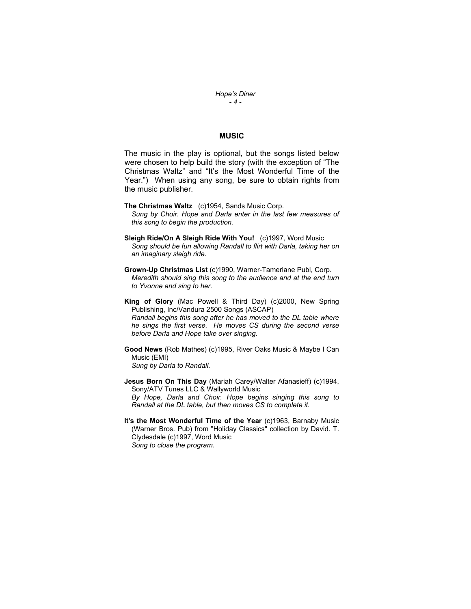*Hope's Diner - 4 -* 

## **MUSIC**

The music in the play is optional, but the songs listed below were chosen to help build the story (with the exception of "The Christmas Waltz" and "It's the Most Wonderful Time of the Year.") When using any song, be sure to obtain rights from the music publisher.

- **The Christmas Waltz** (c)1954, Sands Music Corp. *Sung by Choir. Hope and Darla enter in the last few measures of this song to begin the production.*
- **Sleigh Ride/On A Sleigh Ride With You!** (c)1997, Word Music *Song should be fun allowing Randall to flirt with Darla, taking her on an imaginary sleigh ride.*
- **Grown-Up Christmas List** (c)1990, Warner-Tamerlane Publ, Corp. *Meredith should sing this song to the audience and at the end turn to Yvonne and sing to her.*
- **King of Glory** (Mac Powell & Third Day) (c)2000, New Spring Publishing, Inc/Vandura 2500 Songs (ASCAP) *Randall begins this song after he has moved to the DL table where he sings the first verse. He moves CS during the second verse before Darla and Hope take over singing.*
- **Good News** (Rob Mathes) (c)1995, River Oaks Music & Maybe I Can Music (EMI)

*Sung by Darla to Randall.* 

- **Jesus Born On This Day** (Mariah Carey/Walter Afanasieff) (c)1994, Sony/ATV Tunes LLC & Wallyworld Music *By Hope, Darla and Choir. Hope begins singing this song to Randall at the DL table, but then moves CS to complete it.*
- **It's the Most Wonderful Time of the Year** (c)1963, Barnaby Music (Warner Bros. Pub) from "Holiday Classics" collection by David. T. Clydesdale (c)1997, Word Music *Song to close the program.*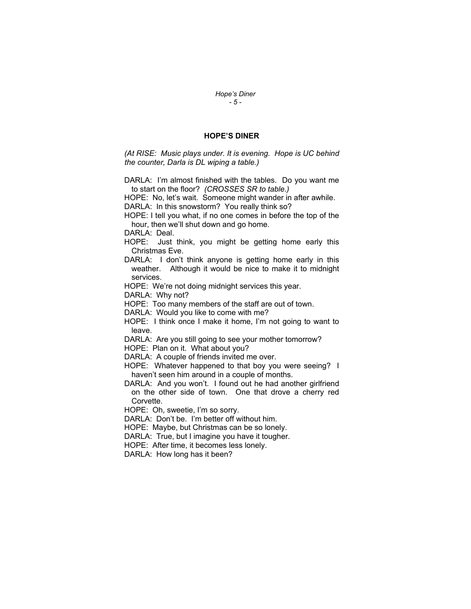*Hope's Diner - 5 -* 

## **HOPE'S DINER**

*(At RISE: Music plays under. It is evening. Hope is UC behind the counter, Darla is DL wiping a table.)* 

DARLA: I'm almost finished with the tables. Do you want me to start on the floor? *(CROSSES SR to table.)*

HOPE: No, let's wait. Someone might wander in after awhile.

DARLA: In this snowstorm? You really think so?

HOPE: I tell you what, if no one comes in before the top of the hour, then we'll shut down and go home.

DARLA: Deal.

- HOPE: Just think, you might be getting home early this Christmas Eve.
- DARLA: I don't think anyone is getting home early in this weather. Although it would be nice to make it to midnight services.

HOPE: We're not doing midnight services this year.

DARLA: Why not?

HOPE: Too many members of the staff are out of town.

DARLA: Would you like to come with me?

HOPE: I think once I make it home, I'm not going to want to leave.

DARLA: Are you still going to see your mother tomorrow?

HOPE: Plan on it. What about you?

DARLA: A couple of friends invited me over.

HOPE: Whatever happened to that boy you were seeing? I haven't seen him around in a couple of months.

DARLA: And you won't. I found out he had another girlfriend on the other side of town. One that drove a cherry red Corvette.

HOPE: Oh, sweetie, I'm so sorry.

DARLA: Don't be. I'm better off without him.

HOPE: Maybe, but Christmas can be so lonely.

DARLA: True, but I imagine you have it tougher.

HOPE: After time, it becomes less lonely.

DARLA: How long has it been?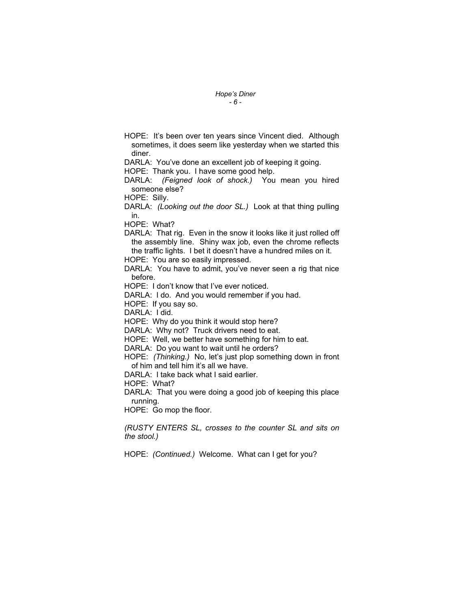- *Hope's Diner - 6 -*
- HOPE: It's been over ten years since Vincent died. Although sometimes, it does seem like yesterday when we started this diner.

DARLA: You've done an excellent job of keeping it going.

HOPE: Thank you. I have some good help.

DARLA: *(Feigned look of shock.)* You mean you hired someone else?

HOPE: Silly.

DARLA: *(Looking out the door SL.)* Look at that thing pulling in.

HOPE: What?

DARLA: That rig. Even in the snow it looks like it just rolled off the assembly line. Shiny wax job, even the chrome reflects the traffic lights. I bet it doesn't have a hundred miles on it.

HOPE: You are so easily impressed.

DARLA: You have to admit, you've never seen a rig that nice before.

HOPE: I don't know that I've ever noticed.

DARLA: I do. And you would remember if you had.

HOPE: If you say so.

DARLA: I did.

HOPE: Why do you think it would stop here?

DARLA: Why not? Truck drivers need to eat.

HOPE: Well, we better have something for him to eat.

DARLA: Do you want to wait until he orders?

HOPE: *(Thinking.)* No, let's just plop something down in front of him and tell him it's all we have.

DARLA: I take back what I said earlier.

HOPE: What?

DARLA: That you were doing a good job of keeping this place running.

HOPE: Go mop the floor.

*(RUSTY ENTERS SL, crosses to the counter SL and sits on the stool.)*

HOPE: *(Continued.)* Welcome. What can I get for you?